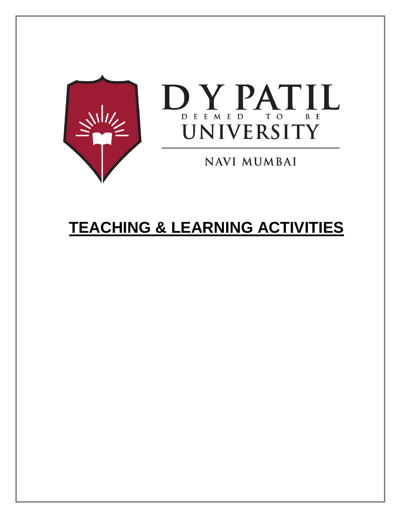

# **TEACHING & LEARNING ACTIVITIES**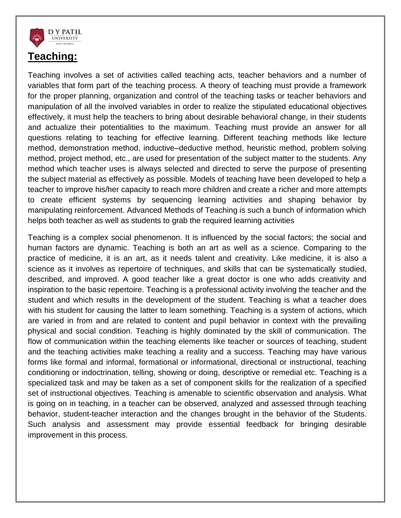

# **Teaching:**

Teaching involves a set of activities called teaching acts, teacher behaviors and a number of variables that form part of the teaching process. A theory of teaching must provide a framework for the proper planning, organization and control of the teaching tasks or teacher behaviors and manipulation of all the involved variables in order to realize the stipulated educational objectives effectively, it must help the teachers to bring about desirable behavioral change, in their students and actualize their potentialities to the maximum. Teaching must provide an answer for all questions relating to teaching for effective learning. Different teaching methods like lecture method, demonstration method, inductive–deductive method, heuristic method, problem solving method, project method, etc., are used for presentation of the subject matter to the students. Any method which teacher uses is always selected and directed to serve the purpose of presenting the subject material as effectively as possible. Models of teaching have been developed to help a teacher to improve his/her capacity to reach more children and create a richer and more attempts to create efficient systems by sequencing learning activities and shaping behavior by manipulating reinforcement. Advanced Methods of Teaching is such a bunch of information which helps both teacher as well as students to grab the required learning activities

Teaching is a complex social phenomenon. It is influenced by the social factors; the social and human factors are dynamic. Teaching is both an art as well as a science. Comparing to the practice of medicine, it is an art, as it needs talent and creativity. Like medicine, it is also a science as it involves as repertoire of techniques, and skills that can be systematically studied, described, and improved. A good teacher like a great doctor is one who adds creativity and inspiration to the basic repertoire. Teaching is a professional activity involving the teacher and the student and which results in the development of the student. Teaching is what a teacher does with his student for causing the latter to learn something. Teaching is a system of actions, which are varied in from and are related to content and pupil behavior in context with the prevailing physical and social condition. Teaching is highly dominated by the skill of communication. The flow of communication within the teaching elements like teacher or sources of teaching, student and the teaching activities make teaching a reality and a success. Teaching may have various forms like formal and informal, formational or informational, directional or instructional, teaching conditioning or indoctrination, telling, showing or doing, descriptive or remedial etc. Teaching is a specialized task and may be taken as a set of component skills for the realization of a specified set of instructional objectives. Teaching is amenable to scientific observation and analysis. What is going on in teaching, in a teacher can be observed, analyzed and assessed through teaching behavior, student-teacher interaction and the changes brought in the behavior of the Students. Such analysis and assessment may provide essential feedback for bringing desirable improvement in this process.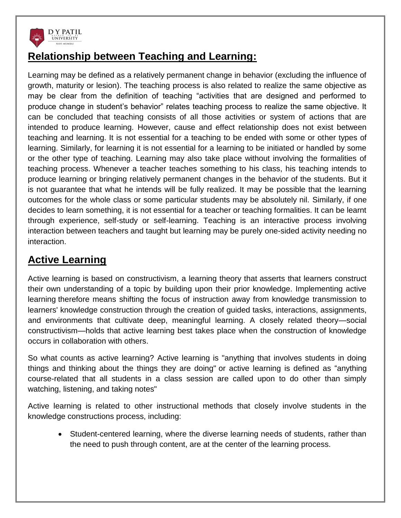

# **Relationship between Teaching and Learning:**

Learning may be defined as a relatively permanent change in behavior (excluding the influence of growth, maturity or lesion). The teaching process is also related to realize the same objective as may be clear from the definition of teaching "activities that are designed and performed to produce change in student's behavior" relates teaching process to realize the same objective. It can be concluded that teaching consists of all those activities or system of actions that are intended to produce learning. However, cause and effect relationship does not exist between teaching and learning. It is not essential for a teaching to be ended with some or other types of learning. Similarly, for learning it is not essential for a learning to be initiated or handled by some or the other type of teaching. Learning may also take place without involving the formalities of teaching process. Whenever a teacher teaches something to his class, his teaching intends to produce learning or bringing relatively permanent changes in the behavior of the students. But it is not guarantee that what he intends will be fully realized. It may be possible that the learning outcomes for the whole class or some particular students may be absolutely nil. Similarly, if one decides to learn something, it is not essential for a teacher or teaching formalities. It can be learnt through experience, self-study or self-learning. Teaching is an interactive process involving interaction between teachers and taught but learning may be purely one-sided activity needing no interaction.

# **Active Learning**

Active learning is based on constructivism, a learning theory that asserts that learners construct their own understanding of a topic by building upon their prior knowledge. Implementing active learning therefore means shifting the focus of instruction away from knowledge transmission to learners' knowledge construction through the creation of guided tasks, interactions, assignments, and environments that cultivate deep, meaningful learning. A closely related theory—social constructivism—holds that active learning best takes place when the construction of knowledge occurs in collaboration with others.

So what counts as active learning? Active learning is "anything that involves students in doing things and thinking about the things they are doing" or active learning is defined as "anything course-related that all students in a class session are called upon to do other than simply watching, listening, and taking notes"

Active learning is related to other instructional methods that closely involve students in the knowledge constructions process, including:

 Student-centered learning, where the diverse learning needs of students, rather than the need to push through content, are at the center of the learning process.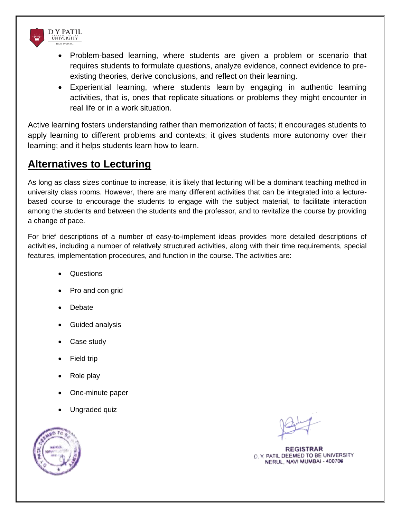

- Problem-based learning, where students are given a problem or scenario that requires students to formulate questions, analyze evidence, connect evidence to preexisting theories, derive conclusions, and reflect on their learning.
- Experiential learning, where students learn by engaging in authentic learning activities, that is, ones that replicate situations or problems they might encounter in real life or in a work situation.

Active learning fosters understanding rather than memorization of facts; it encourages students to apply learning to different problems and contexts; it gives students more autonomy over their learning; and it helps students learn how to learn.

# **Alternatives to Lecturing**

As long as class sizes continue to increase, it is likely that lecturing will be a dominant teaching method in university class rooms. However, there are many different activities that can be integrated into a lecturebased course to encourage the students to engage with the subject material, to facilitate interaction among the students and between the students and the professor, and to revitalize the course by providing a change of pace.

For brief descriptions of a number of easy-to-implement ideas provides more detailed descriptions of activities, including a number of relatively structured activities, along with their time requirements, special features, implementation procedures, and function in the course. The activities are:

- **Questions**
- Pro and con grid
- Debate
- Guided analysis
- Case study
- Field trip
- Role play
- One-minute paper
- Ungraded quiz



**REGISTRAR** D. Y. PATIL DEEMED TO BE UNIVERSITY NERUL, NAVI MUMBAI - 400706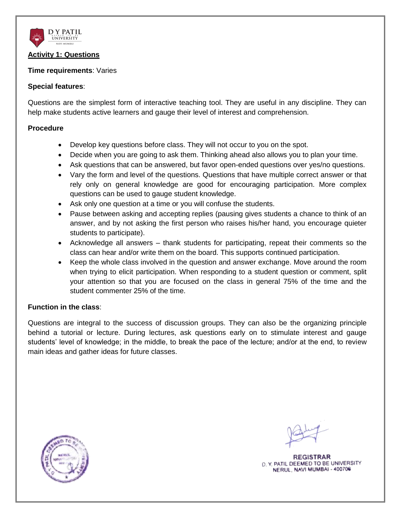

# **Activity 1: Questions**

# **Time requirements**: Varies

#### **Special features**:

Questions are the simplest form of interactive teaching tool. They are useful in any discipline. They can help make students active learners and gauge their level of interest and comprehension.

#### **Procedure**

- Develop key questions before class. They will not occur to you on the spot.
- Decide when you are going to ask them. Thinking ahead also allows you to plan your time.
- Ask questions that can be answered, but favor open-ended questions over yes/no questions.
- Vary the form and level of the questions. Questions that have multiple correct answer or that rely only on general knowledge are good for encouraging participation. More complex questions can be used to gauge student knowledge.
- Ask only one question at a time or you will confuse the students.
- Pause between asking and accepting replies (pausing gives students a chance to think of an answer, and by not asking the first person who raises his/her hand, you encourage quieter students to participate).
- Acknowledge all answers thank students for participating, repeat their comments so the class can hear and/or write them on the board. This supports continued participation.
- Keep the whole class involved in the question and answer exchange. Move around the room when trying to elicit participation. When responding to a student question or comment, split your attention so that you are focused on the class in general 75% of the time and the student commenter 25% of the time.

# **Function in the class**:

Questions are integral to the success of discussion groups. They can also be the organizing principle behind a tutorial or lecture. During lectures, ask questions early on to stimulate interest and gauge students' level of knowledge; in the middle, to break the pace of the lecture; and/or at the end, to review main ideas and gather ideas for future classes.



**REGISTRAR** D. Y. PATIL DEEMED TO BE UNIVERSITY NERUL, NAVI MUMBAI - 400706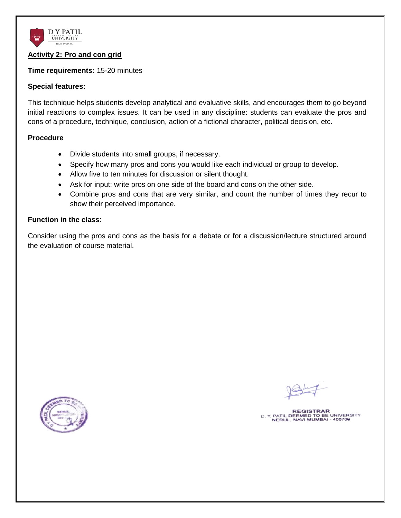

# **Activity 2: Pro and con grid**

#### **Time requirements:** 15-20 minutes

#### **Special features:**

This technique helps students develop analytical and evaluative skills, and encourages them to go beyond initial reactions to complex issues. It can be used in any discipline: students can evaluate the pros and cons of a procedure, technique, conclusion, action of a fictional character, political decision, etc.

#### **Procedure**

- Divide students into small groups, if necessary.
- Specify how many pros and cons you would like each individual or group to develop.
- Allow five to ten minutes for discussion or silent thought.
- Ask for input: write pros on one side of the board and cons on the other side.
- Combine pros and cons that are very similar, and count the number of times they recur to show their perceived importance.

#### **Function in the class**:

Consider using the pros and cons as the basis for a debate or for a discussion/lecture structured around the evaluation of course material.



**REGISTRAR** D. Y. PATIL DEEMED TO BE UNIVERSITY<br>NERUL, NAVI MUMBAI - 400706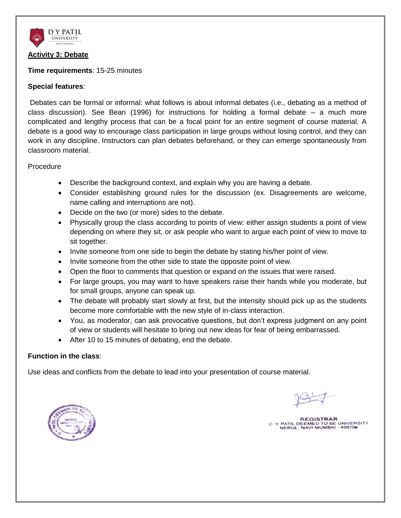

#### **Activity 3: Debate**

# **Time requirements**: 15-25 minutes

# **Special features**:

Debates can be formal or informal: what follows is about informal debates (i.e., debating as a method of class discussion). See Bean (1996) for instructions for holding a formal debate – a much more complicated and lengthy process that can be a focal point for an entire segment of course material. A debate is a good way to encourage class participation in large groups without losing control, and they can work in any discipline. Instructors can plan debates beforehand, or they can emerge spontaneously from classroom material.

#### Procedure

- Describe the background context, and explain why you are having a debate.
- Consider establishing ground rules for the discussion (ex. Disagreements are welcome, name calling and interruptions are not).
- Decide on the two (or more) sides to the debate.
- Physically group the class according to points of view: either assign students a point of view depending on where they sit, or ask people who want to argue each point of view to move to sit together.
- Invite someone from one side to begin the debate by stating his/her point of view.
- Invite someone from the other side to state the opposite point of view.
- Open the floor to comments that question or expand on the issues that were raised.
- For large groups, you may want to have speakers raise their hands while you moderate, but for small groups, anyone can speak up.
- The debate will probably start slowly at first, but the intensity should pick up as the students become more comfortable with the new style of in-class interaction.
- You, as moderator, can ask provocative questions, but don't express judgment on any point of view or students will hesitate to bring out new ideas for fear of being embarrassed.
- After 10 to 15 minutes of debating, end the debate.

# **Function in the class**:

Use ideas and conflicts from the debate to lead into your presentation of course material.



REGISTRAR<br>D. Y. PATIL DEEMED TO BE UNIVERSITY<br>NERUL, NAVI MUMBAI - 400706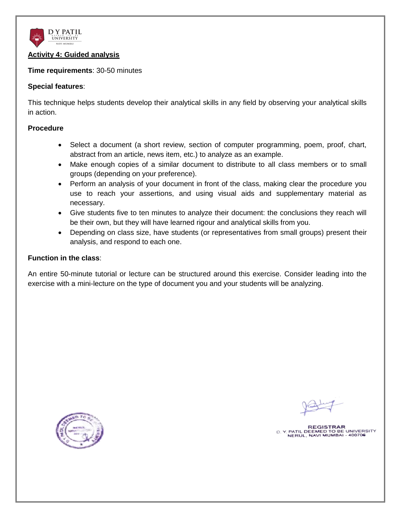

#### **Activity 4: Guided analysis**

#### **Time requirements**: 30-50 minutes

#### **Special features**:

This technique helps students develop their analytical skills in any field by observing your analytical skills in action.

# **Procedure**

- Select a document (a short review, section of computer programming, poem, proof, chart, abstract from an article, news item, etc.) to analyze as an example.
- Make enough copies of a similar document to distribute to all class members or to small groups (depending on your preference).
- Perform an analysis of your document in front of the class, making clear the procedure you use to reach your assertions, and using visual aids and supplementary material as necessary.
- Give students five to ten minutes to analyze their document: the conclusions they reach will be their own, but they will have learned rigour and analytical skills from you.
- Depending on class size, have students (or representatives from small groups) present their analysis, and respond to each one.

#### **Function in the class**:

An entire 50-minute tutorial or lecture can be structured around this exercise. Consider leading into the exercise with a mini-lecture on the type of document you and your students will be analyzing.

**REGISTRAR** D. Y. PATIL DEEMED TO BE UNIVERSITY<br>NERUL, NAVI MUMBAI - 400706

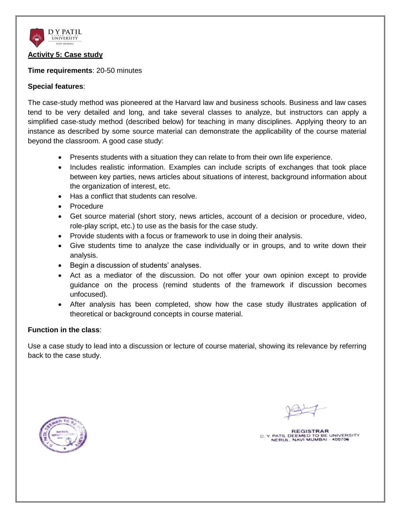

**Activity 5: Case study**

**Time requirements**: 20-50 minutes

# **Special features**:

The case-study method was pioneered at the Harvard law and business schools. Business and law cases tend to be very detailed and long, and take several classes to analyze, but instructors can apply a simplified case-study method (described below) for teaching in many disciplines. Applying theory to an instance as described by some source material can demonstrate the applicability of the course material beyond the classroom. A good case study:

- Presents students with a situation they can relate to from their own life experience.
- Includes realistic information. Examples can include scripts of exchanges that took place between key parties, news articles about situations of interest, background information about the organization of interest, etc.
- Has a conflict that students can resolve.
- Procedure
- Get source material (short story, news articles, account of a decision or procedure, video, role-play script, etc.) to use as the basis for the case study.
- Provide students with a focus or framework to use in doing their analysis.
- Give students time to analyze the case individually or in groups, and to write down their analysis.
- Begin a discussion of students' analyses.
- Act as a mediator of the discussion. Do not offer your own opinion except to provide guidance on the process (remind students of the framework if discussion becomes unfocused).
- After analysis has been completed, show how the case study illustrates application of theoretical or background concepts in course material.

# **Function in the class**:

Use a case study to lead into a discussion or lecture of course material, showing its relevance by referring back to the case study.



REGISTRAR<br>D. Y. PATIL DEEMED TO BE UNIVERSITY<br>NERUL, NAVI MUMBAI - 400706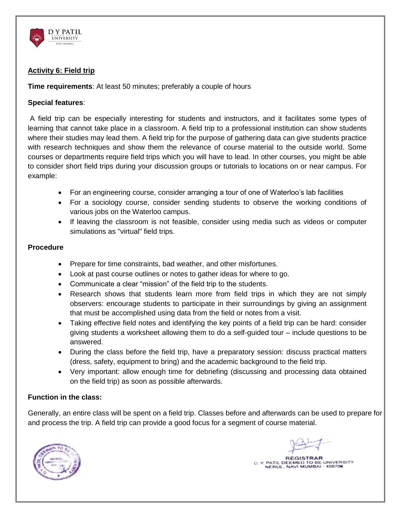

# **Activity 6: Field trip**

**Time requirements**: At least 50 minutes; preferably a couple of hours

# **Special features**:

A field trip can be especially interesting for students and instructors, and it facilitates some types of learning that cannot take place in a classroom. A field trip to a professional institution can show students where their studies may lead them. A field trip for the purpose of gathering data can give students practice with research techniques and show them the relevance of course material to the outside world. Some courses or departments require field trips which you will have to lead. In other courses, you might be able to consider short field trips during your discussion groups or tutorials to locations on or near campus. For example:

- For an engineering course, consider arranging a tour of one of Waterloo's lab facilities
- For a sociology course, consider sending students to observe the working conditions of various jobs on the Waterloo campus.
- If leaving the classroom is not feasible, consider using media such as videos or computer simulations as "virtual" field trips.

#### **Procedure**

- Prepare for time constraints, bad weather, and other misfortunes.
- Look at past course outlines or notes to gather ideas for where to go.
- Communicate a clear "mission" of the field trip to the students.
- Research shows that students learn more from field trips in which they are not simply observers: encourage students to participate in their surroundings by giving an assignment that must be accomplished using data from the field or notes from a visit.
- Taking effective field notes and identifying the key points of a field trip can be hard: consider giving students a worksheet allowing them to do a self-guided tour – include questions to be answered.
- During the class before the field trip, have a preparatory session: discuss practical matters (dress, safety, equipment to bring) and the academic background to the field trip.
- Very important: allow enough time for debriefing (discussing and processing data obtained on the field trip) as soon as possible afterwards.

# **Function in the class:**

Generally, an entire class will be spent on a field trip. Classes before and afterwards can be used to prepare for and process the trip. A field trip can provide a good focus for a segment of course material.



**REGISTRAR** D. Y. PATIL DEEMED TO BE UNIVERSITY<br>NERUL, NAVI MUMBAI - 400706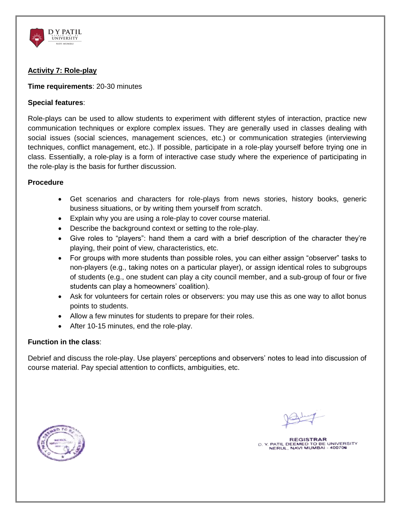

# **Activity 7: Role-play**

**Time requirements**: 20-30 minutes

# **Special features**:

Role-plays can be used to allow students to experiment with different styles of interaction, practice new communication techniques or explore complex issues. They are generally used in classes dealing with social issues (social sciences, management sciences, etc.) or communication strategies (interviewing techniques, conflict management, etc.). If possible, participate in a role-play yourself before trying one in class. Essentially, a role-play is a form of interactive case study where the experience of participating in the role-play is the basis for further discussion.

#### **Procedure**

- Get scenarios and characters for role-plays from news stories, history books, generic business situations, or by writing them yourself from scratch.
- Explain why you are using a role-play to cover course material.
- Describe the background context or setting to the role-play.
- Give roles to "players": hand them a card with a brief description of the character they're playing, their point of view, characteristics, etc.
- For groups with more students than possible roles, you can either assign "observer" tasks to non-players (e.g., taking notes on a particular player), or assign identical roles to subgroups of students (e.g., one student can play a city council member, and a sub-group of four or five students can play a homeowners' coalition).
- Ask for volunteers for certain roles or observers: you may use this as one way to allot bonus points to students.
- Allow a few minutes for students to prepare for their roles.
- After 10-15 minutes, end the role-play.

# **Function in the class**:

Debrief and discuss the role-play. Use players' perceptions and observers' notes to lead into discussion of course material. Pay special attention to conflicts, ambiguities, etc.



**REGISTRAR** D. Y. PATIL DEEMED TO BE UNIVERSITY<br>NERUL, NAVI MUMBAI - 400706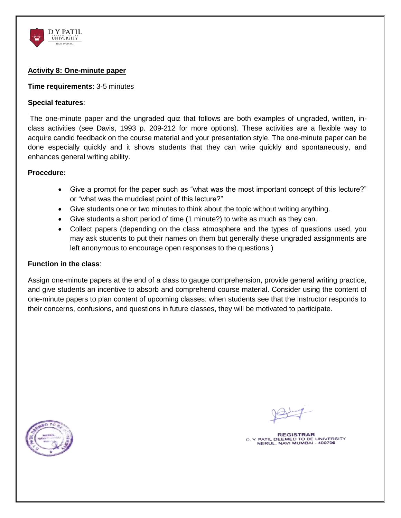

#### **Activity 8: One-minute paper**

#### **Time requirements**: 3-5 minutes

# **Special features**:

The one-minute paper and the ungraded quiz that follows are both examples of ungraded, written, inclass activities (see Davis, 1993 p. 209-212 for more options). These activities are a flexible way to acquire candid feedback on the course material and your presentation style. The one-minute paper can be done especially quickly and it shows students that they can write quickly and spontaneously, and enhances general writing ability.

#### **Procedure:**

- Give a prompt for the paper such as "what was the most important concept of this lecture?" or "what was the muddiest point of this lecture?"
- Give students one or two minutes to think about the topic without writing anything.
- Give students a short period of time (1 minute?) to write as much as they can.
- Collect papers (depending on the class atmosphere and the types of questions used, you may ask students to put their names on them but generally these ungraded assignments are left anonymous to encourage open responses to the questions.)

#### **Function in the class**:

Assign one-minute papers at the end of a class to gauge comprehension, provide general writing practice, and give students an incentive to absorb and comprehend course material. Consider using the content of one-minute papers to plan content of upcoming classes: when students see that the instructor responds to their concerns, confusions, and questions in future classes, they will be motivated to participate.



**REGISTRAR KEGISTRAK**<br>D. Y. PATIL DEEMED TO BE UNIVERSITY<br>NERUL, NAVI MUMBAI - 400706